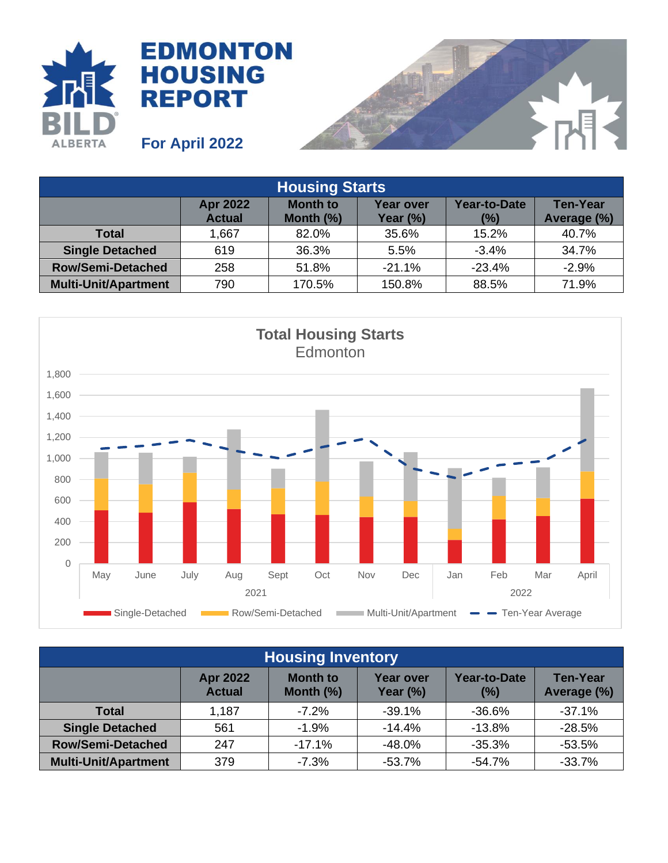



| <b>Housing Starts</b>       |                                  |                                 |                              |                            |                                |  |
|-----------------------------|----------------------------------|---------------------------------|------------------------------|----------------------------|--------------------------------|--|
|                             | <b>Apr 2022</b><br><b>Actual</b> | <b>Month to</b><br>Month $(\%)$ | <b>Year over</b><br>Year (%) | <b>Year-to-Date</b><br>(%) | <b>Ten-Year</b><br>Average (%) |  |
| <b>Total</b>                | 1,667                            | 82.0%                           | 35.6%                        | 15.2%                      | 40.7%                          |  |
| <b>Single Detached</b>      | 619                              | 36.3%                           | 5.5%                         | $-3.4%$                    | 34.7%                          |  |
| <b>Row/Semi-Detached</b>    | 258                              | 51.8%                           | $-21.1%$                     | $-23.4%$                   | $-2.9%$                        |  |
| <b>Multi-Unit/Apartment</b> | 790                              | 170.5%                          | 150.8%                       | 88.5%                      | 71.9%                          |  |



| <b>Housing Inventory</b>    |                                  |                                 |                                 |                            |                                |  |
|-----------------------------|----------------------------------|---------------------------------|---------------------------------|----------------------------|--------------------------------|--|
|                             | <b>Apr 2022</b><br><b>Actual</b> | <b>Month to</b><br>Month $(\%)$ | <b>Year over</b><br>Year $(\%)$ | <b>Year-to-Date</b><br>(%) | <b>Ten-Year</b><br>Average (%) |  |
| <b>Total</b>                | 1,187                            | $-7.2%$                         | $-39.1%$                        | $-36.6%$                   | $-37.1%$                       |  |
| <b>Single Detached</b>      | 561                              | $-1.9%$                         | $-14.4%$                        | $-13.8%$                   | $-28.5%$                       |  |
| <b>Row/Semi-Detached</b>    | 247                              | $-17.1%$                        | $-48.0%$                        | $-35.3%$                   | $-53.5%$                       |  |
| <b>Multi-Unit/Apartment</b> | 379                              | $-7.3%$                         | $-53.7%$                        | $-54.7%$                   | $-33.7%$                       |  |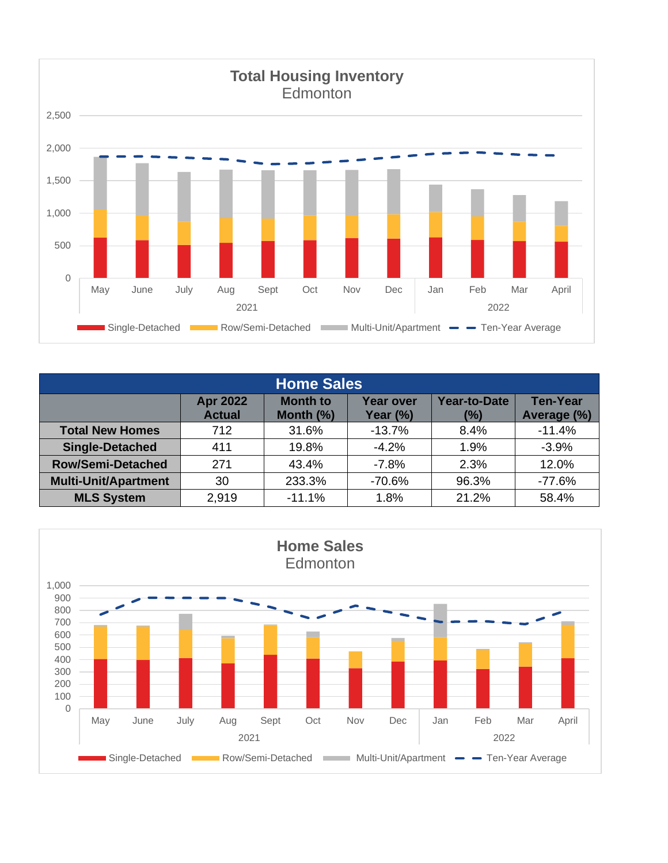

| <b>Home Sales</b>           |                                  |                                 |                              |                               |                                |  |
|-----------------------------|----------------------------------|---------------------------------|------------------------------|-------------------------------|--------------------------------|--|
|                             | <b>Apr 2022</b><br><b>Actual</b> | <b>Month to</b><br>Month $(\%)$ | <b>Year over</b><br>Year (%) | <b>Year-to-Date</b><br>$(\%)$ | <b>Ten-Year</b><br>Average (%) |  |
| <b>Total New Homes</b>      | 712                              | 31.6%                           | $-13.7%$                     | 8.4%                          | $-11.4%$                       |  |
| <b>Single-Detached</b>      | 411                              | 19.8%                           | $-4.2%$                      | 1.9%                          | $-3.9%$                        |  |
| <b>Row/Semi-Detached</b>    | 271                              | 43.4%                           | $-7.8%$                      | 2.3%                          | 12.0%                          |  |
| <b>Multi-Unit/Apartment</b> | 30                               | 233.3%                          | $-70.6%$                     | 96.3%                         | $-77.6%$                       |  |
| <b>MLS System</b>           | 2,919                            | $-11.1%$                        | 1.8%                         | 21.2%                         | 58.4%                          |  |